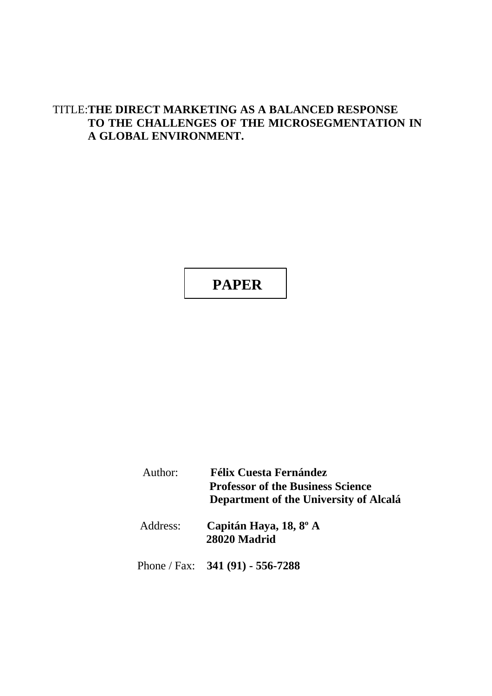# TITLE:**THE DIRECT MARKETING AS A BALANCED RESPONSE TO THE CHALLENGES OF THE MICROSEGMENTATION IN A GLOBAL ENVIRONMENT.**

# **PAPER**

| Author:  | <b>Félix Cuesta Fernández</b><br><b>Professor of the Business Science</b><br>Department of the University of Alcalá |
|----------|---------------------------------------------------------------------------------------------------------------------|
| Address: | Capitán Haya, 18, 8 <sup>°</sup> A<br>28020 Madrid                                                                  |
|          | Phone / Fax: $341(91) - 556-7288$                                                                                   |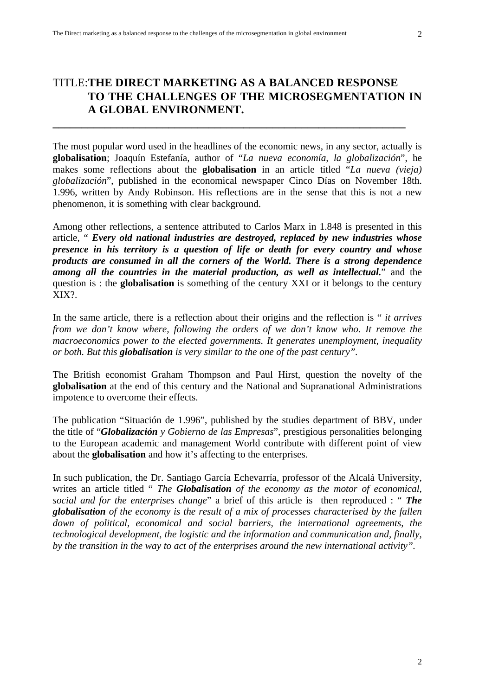# TITLE:**THE DIRECT MARKETING AS A BALANCED RESPONSE TO THE CHALLENGES OF THE MICROSEGMENTATION IN A GLOBAL ENVIRONMENT.**

**\_\_\_\_\_\_\_\_\_\_\_\_\_\_\_\_\_\_\_\_\_\_\_\_\_\_\_\_\_\_\_\_\_\_\_\_\_\_\_\_\_\_\_\_\_\_\_\_\_\_\_\_\_\_\_\_\_\_\_\_\_**

The most popular word used in the headlines of the economic news, in any sector, actually is **globalisation**; Joaquín Estefanía, author of "*La nueva economía, la globalización*", he makes some reflections about the **globalisation** in an article titled "*La nueva (vieja) globalización*", published in the economical newspaper Cinco Días on November 18th. 1.996, written by Andy Robinson. His reflections are in the sense that this is not a new phenomenon, it is something with clear background.

Among other reflections, a sentence attributed to Carlos Marx in 1.848 is presented in this article, " *Every old national industries are destroyed, replaced by new industries whose presence in his territory is a question of life or death for every country and whose products are consumed in all the corners of the World. There is a strong dependence among all the countries in the material production, as well as intellectual.*" and the question is : the **globalisation** is something of the century XXI or it belongs to the century XIX?.

In the same article, there is a reflection about their origins and the reflection is " *it arrives from we don't know where, following the orders of we don't know who. It remove the macroeconomics power to the elected governments. It generates unemployment, inequality or both. But this globalisation is very similar to the one of the past century".*

The British economist Graham Thompson and Paul Hirst, question the novelty of the **globalisation** at the end of this century and the National and Supranational Administrations impotence to overcome their effects.

The publication "Situación de 1.996", published by the studies department of BBV, under the title of "*Globalización y Gobierno de las Empresas*", prestigious personalities belonging to the European academic and management World contribute with different point of view about the **globalisation** and how it's affecting to the enterprises.

In such publication, the Dr. Santiago García Echevarría, professor of the Alcalá University, writes an article titled " *The Globalisation of the economy as the motor of economical, social and for the enterprises change*" a brief of this article is then reproduced : " *The globalisation of the economy is the result of a mix of processes characterised by the fallen down of political, economical and social barriers, the international agreements, the technological development, the logistic and the information and communication and, finally, by the transition in the way to act of the enterprises around the new international activity".*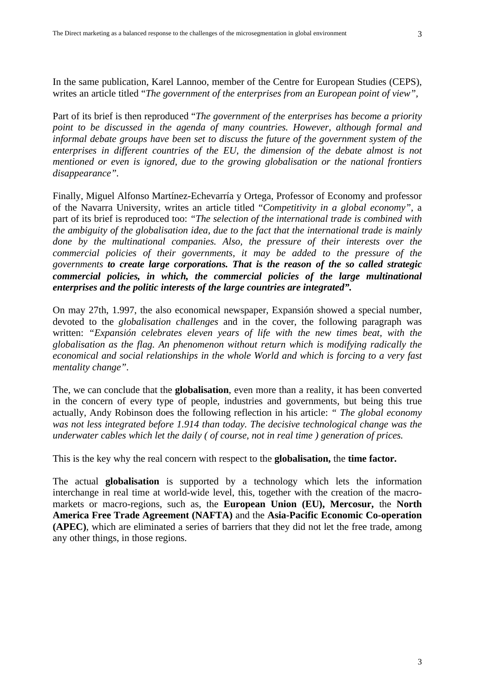In the same publication, Karel Lannoo, member of the Centre for European Studies (CEPS), writes an article titled "*The government of the enterprises from an European point of view",*

Part of its brief is then reproduced "*The government of the enterprises has become a priority point to be discussed in the agenda of many countries. However, although formal and informal debate groups have been set to discuss the future of the government system of the enterprises in different countries of the EU, the dimension of the debate almost is not mentioned or even is ignored, due to the growing globalisation or the national frontiers disappearance".*

Finally, Miguel Alfonso Martínez-Echevarría y Ortega, Professor of Economy and professor of the Navarra University, writes an article titled "*Competitivity in a global economy"*, a part of its brief is reproduced too: *"The selection of the international trade is combined with the ambiguity of the globalisation idea, due to the fact that the international trade is mainly done by the multinational companies. Also, the pressure of their interests over the commercial policies of their governments, it may be added to the pressure of the governments to create large corporations. That is the reason of the so called strategic commercial policies, in which, the commercial policies of the large multinational enterprises and the politic interests of the large countries are integrated".*

On may 27th, 1.997, the also economical newspaper, Expansión showed a special number, devoted to the *globalisation challenges* and in the cover, the following paragraph was written: *"Expansión celebrates eleven years of life with the new times beat, with the globalisation as the flag. An phenomenon without return which is modifying radically the economical and social relationships in the whole World and which is forcing to a very fast mentality change".*

The, we can conclude that the **globalisation**, even more than a reality, it has been converted in the concern of every type of people, industries and governments, but being this true actually, Andy Robinson does the following reflection in his article: *" The global economy was not less integrated before 1.914 than today. The decisive technological change was the underwater cables which let the daily ( of course, not in real time ) generation of prices.*

This is the key why the real concern with respect to the **globalisation,** the **time factor.**

The actual **globalisation** is supported by a technology which lets the information interchange in real time at world-wide level, this, together with the creation of the macromarkets or macro-regions, such as, the **European Union (EU), Mercosur,** the **North America Free Trade Agreement (NAFTA)** and the **Asia-Pacific Economic Co-operation (APEC)**, which are eliminated a series of barriers that they did not let the free trade, among any other things, in those regions.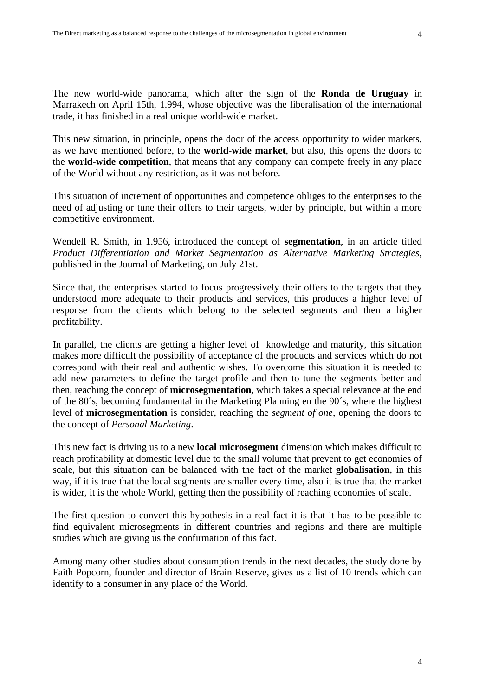The new world-wide panorama, which after the sign of the **Ronda de Uruguay** in Marrakech on April 15th, 1.994, whose objective was the liberalisation of the international trade, it has finished in a real unique world-wide market.

This new situation, in principle, opens the door of the access opportunity to wider markets, as we have mentioned before, to the **world-wide market**, but also, this opens the doors to the **world-wide competition**, that means that any company can compete freely in any place of the World without any restriction, as it was not before.

This situation of increment of opportunities and competence obliges to the enterprises to the need of adjusting or tune their offers to their targets, wider by principle, but within a more competitive environment.

Wendell R. Smith, in 1.956, introduced the concept of **segmentation**, in an article titled *Product Differentiation and Market Segmentation as Alternative Marketing Strategies*, published in the Journal of Marketing, on July 21st.

Since that, the enterprises started to focus progressively their offers to the targets that they understood more adequate to their products and services, this produces a higher level of response from the clients which belong to the selected segments and then a higher profitability.

In parallel, the clients are getting a higher level of knowledge and maturity, this situation makes more difficult the possibility of acceptance of the products and services which do not correspond with their real and authentic wishes. To overcome this situation it is needed to add new parameters to define the target profile and then to tune the segments better and then, reaching the concept of **microsegmentation,** which takes a special relevance at the end of the 80´s, becoming fundamental in the Marketing Planning en the 90´s, where the highest level of **microsegmentation** is consider, reaching the *segment of one*, opening the doors to the concept of *Personal Marketing*.

This new fact is driving us to a new **local microsegment** dimension which makes difficult to reach profitability at domestic level due to the small volume that prevent to get economies of scale, but this situation can be balanced with the fact of the market **globalisation**, in this way, if it is true that the local segments are smaller every time, also it is true that the market is wider, it is the whole World, getting then the possibility of reaching economies of scale.

The first question to convert this hypothesis in a real fact it is that it has to be possible to find equivalent microsegments in different countries and regions and there are multiple studies which are giving us the confirmation of this fact.

Among many other studies about consumption trends in the next decades, the study done by Faith Popcorn, founder and director of Brain Reserve, gives us a list of 10 trends which can identify to a consumer in any place of the World.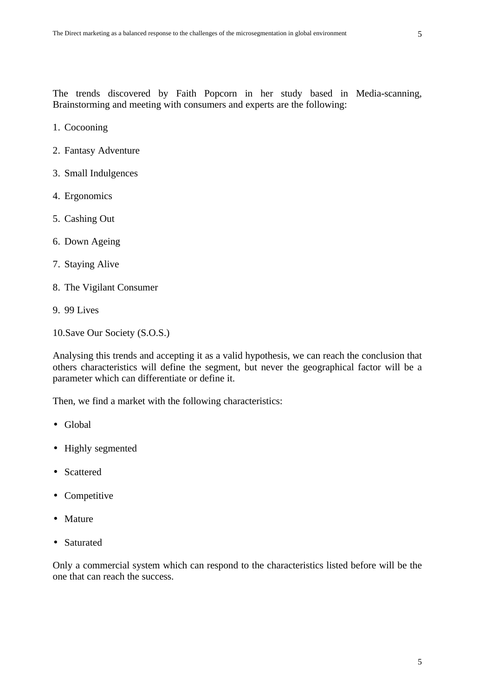The trends discovered by Faith Popcorn in her study based in Media-scanning, Brainstorming and meeting with consumers and experts are the following:

- 1. Cocooning
- 2. Fantasy Adventure
- 3. Small Indulgences
- 4. Ergonomics
- 5. Cashing Out
- 6. Down Ageing
- 7. Staying Alive
- 8. The Vigilant Consumer
- 9. 99 Lives
- 10.Save Our Society (S.O.S.)

Analysing this trends and accepting it as a valid hypothesis, we can reach the conclusion that others characteristics will define the segment, but never the geographical factor will be a parameter which can differentiate or define it.

Then, we find a market with the following characteristics:

- Global
- Highly segmented
- Scattered
- Competitive
- Mature
- Saturated

Only a commercial system which can respond to the characteristics listed before will be the one that can reach the success.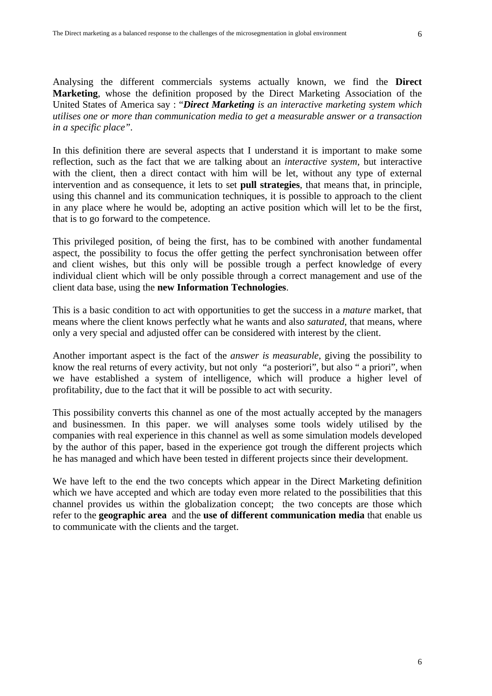Analysing the different commercials systems actually known, we find the **Direct Marketing**, whose the definition proposed by the Direct Marketing Association of the United States of America say : "*Direct Marketing is an interactive marketing system which utilises one or more than communication media to get a measurable answer or a transaction in a specific place".*

In this definition there are several aspects that I understand it is important to make some reflection, such as the fact that we are talking about an *interactive system,* but interactive with the client, then a direct contact with him will be let, without any type of external intervention and as consequence, it lets to set **pull strategies**, that means that, in principle, using this channel and its communication techniques, it is possible to approach to the client in any place where he would be, adopting an active position which will let to be the first, that is to go forward to the competence.

This privileged position, of being the first, has to be combined with another fundamental aspect, the possibility to focus the offer getting the perfect synchronisation between offer and client wishes, but this only will be possible trough a perfect knowledge of every individual client which will be only possible through a correct management and use of the client data base, using the **new Information Technologies**.

This is a basic condition to act with opportunities to get the success in a *mature* market, that means where the client knows perfectly what he wants and also *saturated*, that means, where only a very special and adjusted offer can be considered with interest by the client.

Another important aspect is the fact of the *answer is measurable*, giving the possibility to know the real returns of every activity, but not only "a posteriori", but also " a priori", when we have established a system of intelligence, which will produce a higher level of profitability, due to the fact that it will be possible to act with security.

This possibility converts this channel as one of the most actually accepted by the managers and businessmen. In this paper. we will analyses some tools widely utilised by the companies with real experience in this channel as well as some simulation models developed by the author of this paper, based in the experience got trough the different projects which he has managed and which have been tested in different projects since their development.

We have left to the end the two concepts which appear in the Direct Marketing definition which we have accepted and which are today even more related to the possibilities that this channel provides us within the globalization concept; the two concepts are those which refer to the **geographic area** and the **use of different communication media** that enable us to communicate with the clients and the target.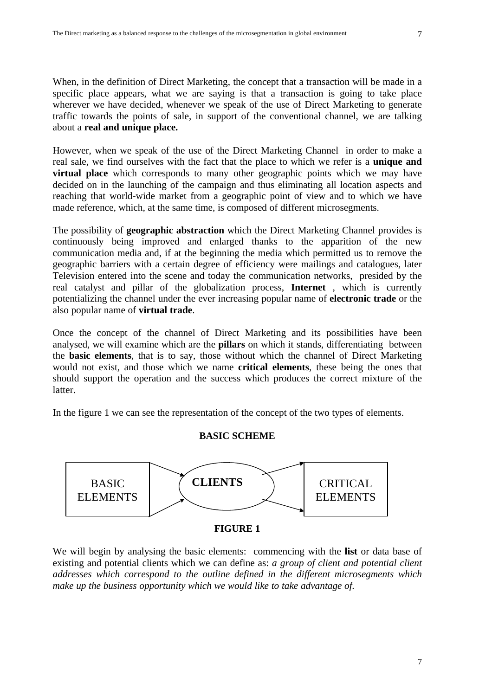When, in the definition of Direct Marketing, the concept that a transaction will be made in a specific place appears, what we are saying is that a transaction is going to take place wherever we have decided, whenever we speak of the use of Direct Marketing to generate traffic towards the points of sale, in support of the conventional channel, we are talking about a **real and unique place.**

However, when we speak of the use of the Direct Marketing Channel in order to make a real sale, we find ourselves with the fact that the place to which we refer is a **unique and virtual place** which corresponds to many other geographic points which we may have decided on in the launching of the campaign and thus eliminating all location aspects and reaching that world-wide market from a geographic point of view and to which we have made reference, which, at the same time, is composed of different microsegments.

The possibility of **geographic abstraction** which the Direct Marketing Channel provides is continuously being improved and enlarged thanks to the apparition of the new communication media and, if at the beginning the media which permitted us to remove the geographic barriers with a certain degree of efficiency were mailings and catalogues, later Television entered into the scene and today the communication networks, presided by the real catalyst and pillar of the globalization process, **Internet** , which is currently potentializing the channel under the ever increasing popular name of **electronic trade** or the also popular name of **virtual trade**.

Once the concept of the channel of Direct Marketing and its possibilities have been analysed, we will examine which are the **pillars** on which it stands, differentiating between the **basic elements**, that is to say, those without which the channel of Direct Marketing would not exist, and those which we name **critical elements**, these being the ones that should support the operation and the success which produces the correct mixture of the latter.

In the figure 1 we can see the representation of the concept of the two types of elements.

#### **BASIC SCHEME**



#### **FIGURE 1**

We will begin by analysing the basic elements: commencing with the **list** or data base of existing and potential clients which we can define as: *a group of client and potential client addresses which correspond to the outline defined in the different microsegments which make up the business opportunity which we would like to take advantage of.*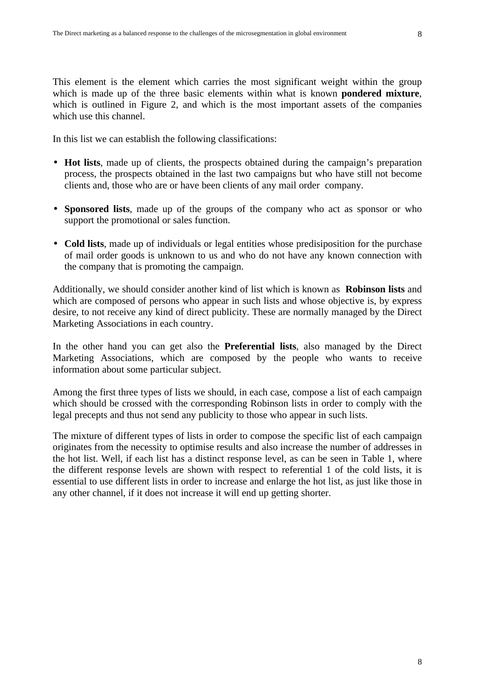This element is the element which carries the most significant weight within the group which is made up of the three basic elements within what is known **pondered mixture**, which is outlined in Figure 2, and which is the most important assets of the companies which use this channel.

In this list we can establish the following classifications:

- **Hot lists**, made up of clients, the prospects obtained during the campaign's preparation process, the prospects obtained in the last two campaigns but who have still not become clients and, those who are or have been clients of any mail order company.
- **Sponsored lists**, made up of the groups of the company who act as sponsor or who support the promotional or sales function.
- **Cold lists**, made up of individuals or legal entities whose predisiposition for the purchase of mail order goods is unknown to us and who do not have any known connection with the company that is promoting the campaign.

Additionally, we should consider another kind of list which is known as **Robinson lists** and which are composed of persons who appear in such lists and whose objective is, by express desire, to not receive any kind of direct publicity. These are normally managed by the Direct Marketing Associations in each country.

In the other hand you can get also the **Preferential lists**, also managed by the Direct Marketing Associations, which are composed by the people who wants to receive information about some particular subject.

Among the first three types of lists we should, in each case, compose a list of each campaign which should be crossed with the corresponding Robinson lists in order to comply with the legal precepts and thus not send any publicity to those who appear in such lists.

The mixture of different types of lists in order to compose the specific list of each campaign originates from the necessity to optimise results and also increase the number of addresses in the hot list. Well, if each list has a distinct response level, as can be seen in Table 1, where the different response levels are shown with respect to referential 1 of the cold lists, it is essential to use different lists in order to increase and enlarge the hot list, as just like those in any other channel, if it does not increase it will end up getting shorter.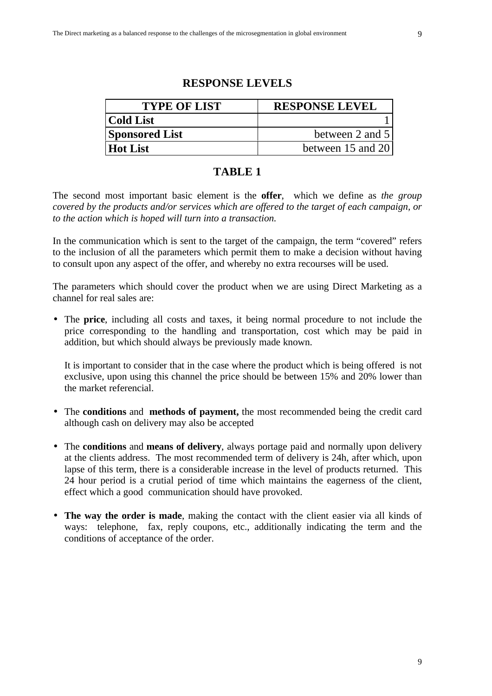## **RESPONSE LEVELS**

| <b>TYPE OF LIST</b>   | <b>RESPONSE LEVEL</b> |
|-----------------------|-----------------------|
| <b>Cold List</b>      |                       |
| <b>Sponsored List</b> | between 2 and 5       |
| <b>Hot List</b>       | between 15 and 20     |

# **TABLE 1**

The second most important basic element is the **offer**, which we define as *the group covered by the products and/or services which are offered to the target of each campaign, or to the action which is hoped will turn into a transaction.*

In the communication which is sent to the target of the campaign, the term "covered" refers to the inclusion of all the parameters which permit them to make a decision without having to consult upon any aspect of the offer, and whereby no extra recourses will be used.

The parameters which should cover the product when we are using Direct Marketing as a channel for real sales are:

• The **price**, including all costs and taxes, it being normal procedure to not include the price corresponding to the handling and transportation, cost which may be paid in addition, but which should always be previously made known.

It is important to consider that in the case where the product which is being offered is not exclusive, upon using this channel the price should be between 15% and 20% lower than the market referencial.

- The **conditions** and **methods of payment,** the most recommended being the credit card although cash on delivery may also be accepted
- The **conditions** and **means of delivery**, always portage paid and normally upon delivery at the clients address. The most recommended term of delivery is 24h, after which, upon lapse of this term, there is a considerable increase in the level of products returned. This 24 hour period is a crutial period of time which maintains the eagerness of the client, effect which a good communication should have provoked.
- **The way the order is made**, making the contact with the client easier via all kinds of ways: telephone, fax, reply coupons, etc., additionally indicating the term and the conditions of acceptance of the order.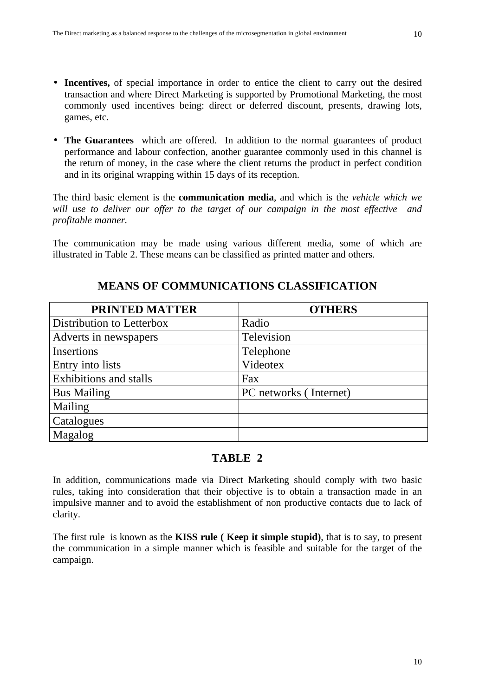- **Incentives,** of special importance in order to entice the client to carry out the desired transaction and where Direct Marketing is supported by Promotional Marketing, the most commonly used incentives being: direct or deferred discount, presents, drawing lots, games, etc.
- **The Guarantees** which are offered. In addition to the normal guarantees of product performance and labour confection, another guarantee commonly used in this channel is the return of money, in the case where the client returns the product in perfect condition and in its original wrapping within 15 days of its reception.

The third basic element is the **communication media**, and which is the *vehicle which we will use to deliver our offer to the target of our campaign in the most effective and profitable manner.*

The communication may be made using various different media, some of which are illustrated in Table 2. These means can be classified as printed matter and others.

| <b>PRINTED MATTER</b>         | <b>OTHERS</b>          |
|-------------------------------|------------------------|
| Distribution to Letterbox     | Radio                  |
| Adverts in newspapers         | Television             |
| Insertions                    | Telephone              |
| Entry into lists              | Videotex               |
| <b>Exhibitions and stalls</b> | Fax                    |
| <b>Bus Mailing</b>            | PC networks (Internet) |
| Mailing                       |                        |
| Catalogues                    |                        |
| Magalog                       |                        |

# **MEANS OF COMMUNICATIONS CLASSIFICATION**

# **TABLE 2**

In addition, communications made via Direct Marketing should comply with two basic rules, taking into consideration that their objective is to obtain a transaction made in an impulsive manner and to avoid the establishment of non productive contacts due to lack of clarity.

The first rule is known as the **KISS rule ( Keep it simple stupid)**, that is to say, to present the communication in a simple manner which is feasible and suitable for the target of the campaign.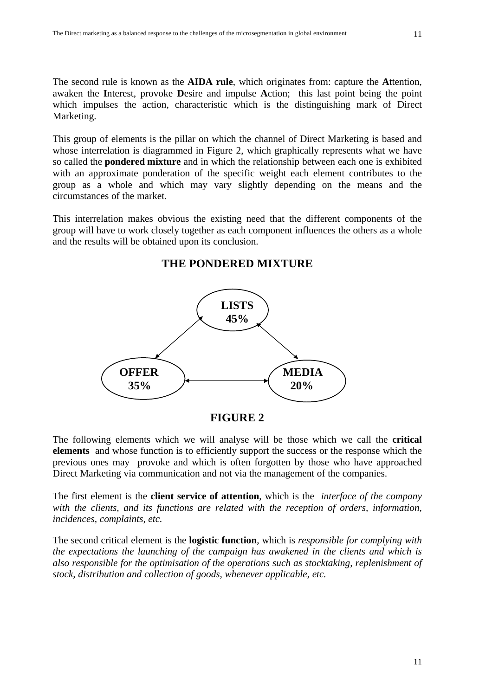The second rule is known as the **AIDA rule**, which originates from: capture the **A**ttention, awaken the **I**nterest, provoke **D**esire and impulse **A**ction; this last point being the point which impulses the action, characteristic which is the distinguishing mark of Direct Marketing.

This group of elements is the pillar on which the channel of Direct Marketing is based and whose interrelation is diagrammed in Figure 2, which graphically represents what we have so called the **pondered mixture** and in which the relationship between each one is exhibited with an approximate ponderation of the specific weight each element contributes to the group as a whole and which may vary slightly depending on the means and the circumstances of the market.

This interrelation makes obvious the existing need that the different components of the group will have to work closely together as each component influences the others as a whole and the results will be obtained upon its conclusion.

# **LISTS 45% OFFER** MEDIA  $\sqrt{35\%}$   $20\%$

# **THE PONDERED MIXTURE**



The following elements which we will analyse will be those which we call the **critical elements** and whose function is to efficiently support the success or the response which the previous ones may provoke and which is often forgotten by those who have approached Direct Marketing via communication and not via the management of the companies.

The first element is the **client service of attention**, which is the *interface of the company with the clients, and its functions are related with the reception of orders, information, incidences, complaints, etc.*

The second critical element is the **logistic function**, which is *responsible for complying with the expectations the launching of the campaign has awakened in the clients and which is also responsible for the optimisation of the operations such as stocktaking, replenishment of stock, distribution and collection of goods, whenever applicable, etc.*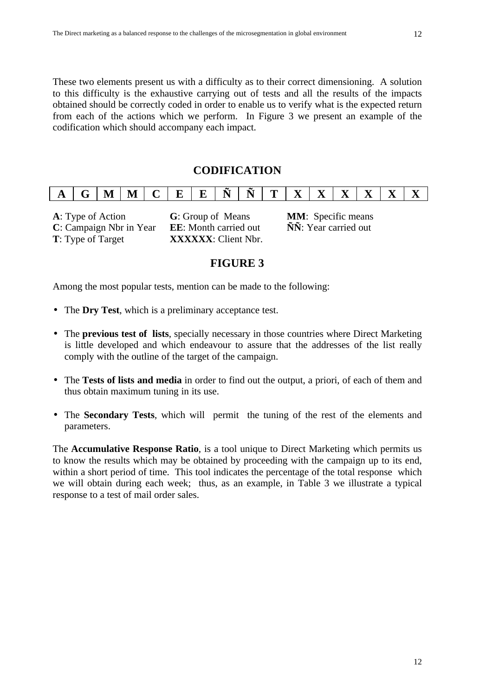These two elements present us with a difficulty as to their correct dimensioning. A solution to this difficulty is the exhaustive carrying out of tests and all the results of the impacts obtained should be correctly coded in order to enable us to verify what is the expected return from each of the actions which we perform. In Figure 3 we present an example of the codification which should accompany each impact.

# **CODIFICATION**

| <b>A</b> |  | ℳ | IV.<br>--- | $\sim$ $\sim$ | $\mathbf{L}$ | $\blacksquare$ | $\tilde{\phantom{a}}$<br><b>NT</b> | <b>NT</b> | $\mathbf{r}$ | $\overline{\mathbf{x}}$<br>-- | $\mathbf{x}$ | $\overline{\mathbf{x}}$<br>∡∍ | $\overline{\mathbf{x}}$<br>-- | $-$ |  |  |
|----------|--|---|------------|---------------|--------------|----------------|------------------------------------|-----------|--------------|-------------------------------|--------------|-------------------------------|-------------------------------|-----|--|--|
|----------|--|---|------------|---------------|--------------|----------------|------------------------------------|-----------|--------------|-------------------------------|--------------|-------------------------------|-------------------------------|-----|--|--|

**C**: Campaign Nbr in Year **EE**: Month carried out **ÑÑ**: Year carried out **T**: Type of Target **XXXXXX**: Client Nbr.

**A**: Type of Action **G**: Group of Means **MM**: Specific means

# **FIGURE 3**

Among the most popular tests, mention can be made to the following:

- The **Dry Test**, which is a preliminary acceptance test.
- The **previous test of lists**, specially necessary in those countries where Direct Marketing is little developed and which endeavour to assure that the addresses of the list really comply with the outline of the target of the campaign.
- The **Tests of lists and media** in order to find out the output, a priori, of each of them and thus obtain maximum tuning in its use.
- The **Secondary Tests**, which will permit the tuning of the rest of the elements and parameters.

The **Accumulative Response Ratio**, is a tool unique to Direct Marketing which permits us to know the results which may be obtained by proceeding with the campaign up to its end, within a short period of time. This tool indicates the percentage of the total response which we will obtain during each week; thus, as an example, in Table 3 we illustrate a typical response to a test of mail order sales.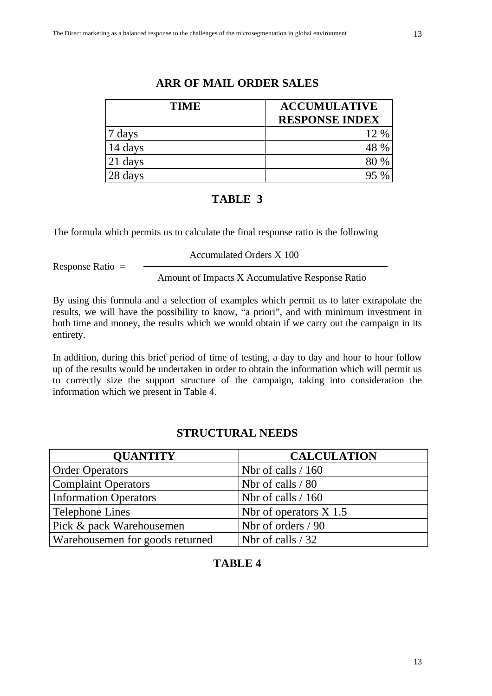| <b>TIME</b> | <b>ACCUMULATIVE</b>   |
|-------------|-----------------------|
|             | <b>RESPONSE INDEX</b> |
| days        | 12 %                  |
| 14 days     | 48 %                  |
| 21 days     | 80 %                  |
| 28 days     |                       |

# **ARR OF MAIL ORDER SALES**

# **TABLE 3**

The formula which permits us to calculate the final response ratio is the following

Response Ratio =

Accumulated Orders X 100

Amount of Impacts X Accumulative Response Ratio

By using this formula and a selection of examples which permit us to later extrapolate the results, we will have the possibility to know, "a priori", and with minimum investment in both time and money, the results which we would obtain if we carry out the campaign in its entirety.

In addition, during this brief period of time of testing, a day to day and hour to hour follow up of the results would be undertaken in order to obtain the information which will permit us to correctly size the support structure of the campaign, taking into consideration the information which we present in Table 4.

# **STRUCTURAL NEEDS**

| <b>QUANTITY</b>                 | <b>CALCULATION</b>       |
|---------------------------------|--------------------------|
| <b>Order Operators</b>          | Nbr of calls $/ 160$     |
| <b>Complaint Operators</b>      | Nbr of calls / 80        |
| <b>Information Operators</b>    | Nbr of calls $/ 160$     |
| Telephone Lines                 | Nbr of operators $X$ 1.5 |
| Pick & pack Warehousemen        | Nbr of orders / 90       |
| Warehousemen for goods returned | Nbr of calls $/32$       |

# **TABLE 4**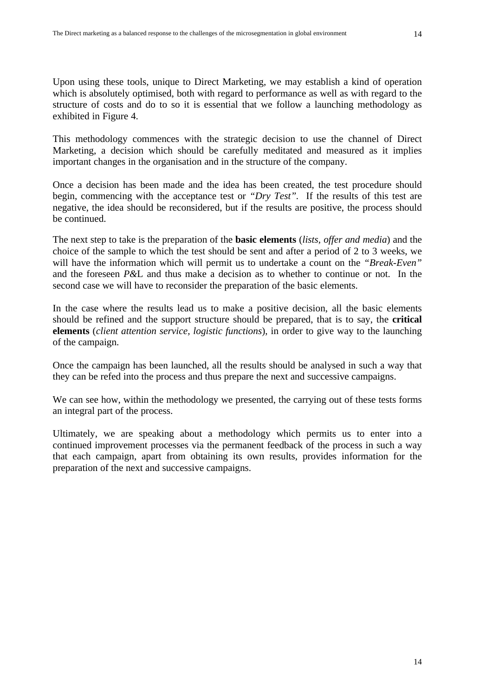Upon using these tools, unique to Direct Marketing, we may establish a kind of operation which is absolutely optimised, both with regard to performance as well as with regard to the structure of costs and do to so it is essential that we follow a launching methodology as exhibited in Figure 4.

This methodology commences with the strategic decision to use the channel of Direct Marketing, a decision which should be carefully meditated and measured as it implies important changes in the organisation and in the structure of the company.

Once a decision has been made and the idea has been created, the test procedure should begin, commencing with the acceptance test or *"Dry Test".* If the results of this test are negative, the idea should be reconsidered, but if the results are positive, the process should be continued.

The next step to take is the preparation of the **basic elements** (*lists, offer and media*) and the choice of the sample to which the test should be sent and after a period of 2 to 3 weeks, we will have the information which will permit us to undertake a count on the *"Break-Even"* and the foreseen *P&*L and thus make a decision as to whether to continue or not. In the second case we will have to reconsider the preparation of the basic elements.

In the case where the results lead us to make a positive decision, all the basic elements should be refined and the support structure should be prepared, that is to say, the **critical elements** (*client attention service, logistic functions*), in order to give way to the launching of the campaign.

Once the campaign has been launched, all the results should be analysed in such a way that they can be refed into the process and thus prepare the next and successive campaigns.

We can see how, within the methodology we presented, the carrying out of these tests forms an integral part of the process.

Ultimately, we are speaking about a methodology which permits us to enter into a continued improvement processes via the permanent feedback of the process in such a way that each campaign, apart from obtaining its own results, provides information for the preparation of the next and successive campaigns.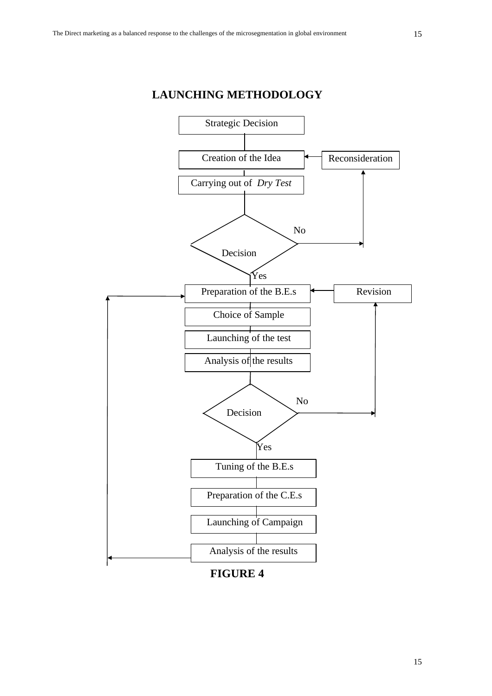



**FIGURE 4**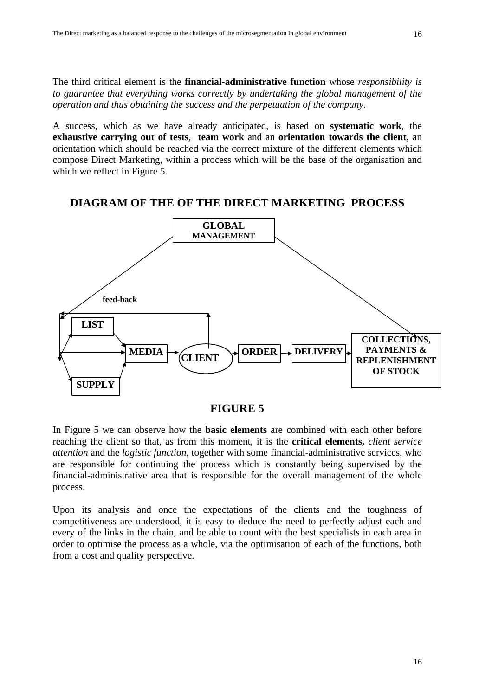A success, which as we have already anticipated, is based on **systematic work**, the **exhaustive carrying out of tests**, **team work** and an **orientation towards the client**, an orientation which should be reached via the correct mixture of the different elements which compose Direct Marketing, within a process which will be the base of the organisation and which we reflect in Figure 5.

# **DIAGRAM OF THE OF THE DIRECT MARKETING PROCESS**



**FIGURE 5**

In Figure 5 we can observe how the **basic elements** are combined with each other before reaching the client so that, as from this moment, it is the **critical elements,** *client service attention* and the *logistic function*, together with some financial-administrative services, who are responsible for continuing the process which is constantly being supervised by the financial-administrative area that is responsible for the overall management of the whole process.

Upon its analysis and once the expectations of the clients and the toughness of competitiveness are understood, it is easy to deduce the need to perfectly adjust each and every of the links in the chain, and be able to count with the best specialists in each area in order to optimise the process as a whole, via the optimisation of each of the functions, both from a cost and quality perspective.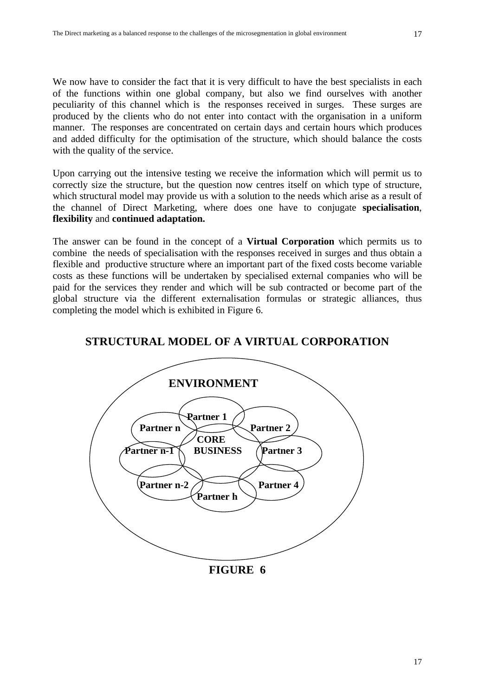We now have to consider the fact that it is very difficult to have the best specialists in each of the functions within one global company, but also we find ourselves with another peculiarity of this channel which is the responses received in surges. These surges are produced by the clients who do not enter into contact with the organisation in a uniform manner. The responses are concentrated on certain days and certain hours which produces and added difficulty for the optimisation of the structure, which should balance the costs with the quality of the service.

Upon carrying out the intensive testing we receive the information which will permit us to correctly size the structure, but the question now centres itself on which type of structure, which structural model may provide us with a solution to the needs which arise as a result of the channel of Direct Marketing, where does one have to conjugate **specialisation**, **flexibility** and **continued adaptation.**

The answer can be found in the concept of a **Virtual Corporation** which permits us to combine the needs of specialisation with the responses received in surges and thus obtain a flexible and productive structure where an important part of the fixed costs become variable costs as these functions will be undertaken by specialised external companies who will be paid for the services they render and which will be sub contracted or become part of the global structure via the different externalisation formulas or strategic alliances, thus completing the model which is exhibited in Figure 6.

# **STRUCTURAL MODEL OF A VIRTUAL CORPORATION**



#### **FIGURE 6**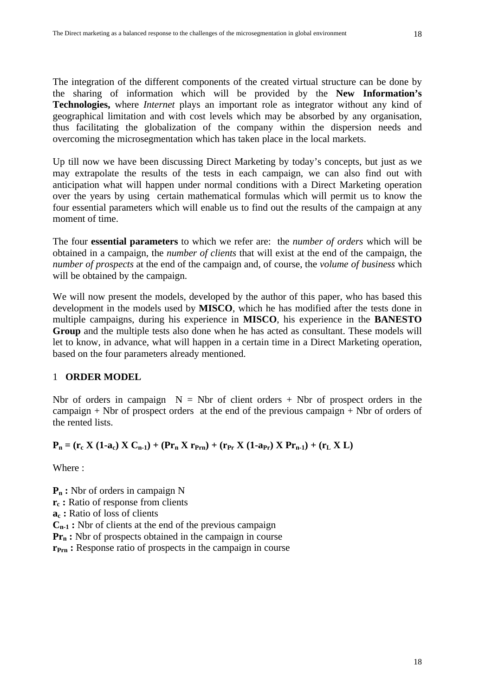The integration of the different components of the created virtual structure can be done by the sharing of information which will be provided by the **New Information's Technologies,** where *Internet* plays an important role as integrator without any kind of geographical limitation and with cost levels which may be absorbed by any organisation, thus facilitating the globalization of the company within the dispersion needs and overcoming the microsegmentation which has taken place in the local markets.

Up till now we have been discussing Direct Marketing by today's concepts, but just as we may extrapolate the results of the tests in each campaign, we can also find out with anticipation what will happen under normal conditions with a Direct Marketing operation over the years by using certain mathematical formulas which will permit us to know the four essential parameters which will enable us to find out the results of the campaign at any moment of time.

The four **essential parameters** to which we refer are: the *number of orders* which will be obtained in a campaign, the *number of clients* that will exist at the end of the campaign, the *number of prospects* at the end of the campaign and, of course, the *volume of business* which will be obtained by the campaign.

We will now present the models, developed by the author of this paper, who has based this development in the models used by **MISCO**, which he has modified after the tests done in multiple campaigns, during his experience in **MISCO**, his experience in the **BANESTO Group** and the multiple tests also done when he has acted as consultant. These models will let to know, in advance, what will happen in a certain time in a Direct Marketing operation, based on the four parameters already mentioned.

#### 1 **ORDER MODEL**

Nbr of orders in campaign  $N = Nbr$  of client orders + Nbr of prospect orders in the campaign + Nbr of prospect orders at the end of the previous campaign + Nbr of orders of the rented lists.

# **P**<sub>n</sub> = ( $\mathbf{r}_c$  **X** (1-a<sub>c</sub>) **X** C<sub>n-1</sub>) + ( $\mathbf{P}\mathbf{r}_n$  **X**  $\mathbf{r}_{Prn}$ ) + ( $\mathbf{r}_{Pr}$  **X** (1-a<sub>Pr</sub>) **X**  $\mathbf{P}\mathbf{r}_{n-1}$ ) + ( $\mathbf{r}_L$  **X** L)

Where :

**Pn :** Nbr of orders in campaign N **rc :** Ratio of response from clients **ac :** Ratio of loss of clients **Cn-1 :** Nbr of clients at the end of the previous campaign **Pr<sub>n</sub>**: Nbr of prospects obtained in the campaign in course **rPrn :** Response ratio of prospects in the campaign in course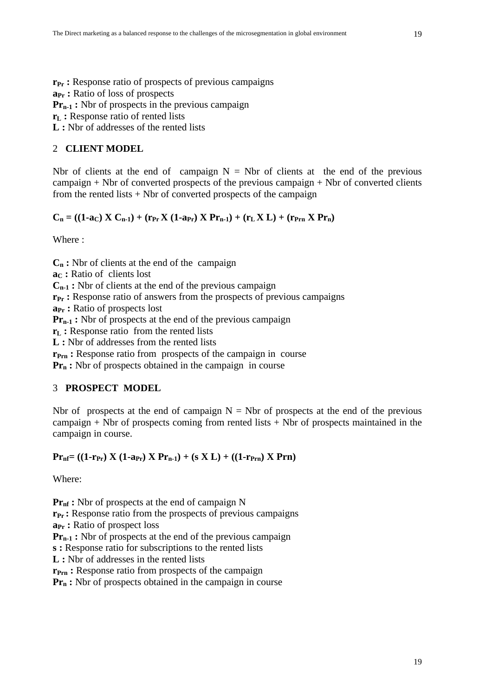**rPr :** Response ratio of prospects of previous campaigns **aPr :** Ratio of loss of prospects **Pr<sub>n-1</sub>**: Nbr of prospects in the previous campaign **rL :** Response ratio of rented lists

**L :** Nbr of addresses of the rented lists

#### 2 **CLIENT MODEL**

Nbr of clients at the end of campaign  $N = Nb$ r of clients at the end of the previous campaign + Nbr of converted prospects of the previous campaign + Nbr of converted clients from the rented lists + Nbr of converted prospects of the campaign

# $C_n = ((1-a_C) X C_{n-1}) + (r_{Pr} X (1-a_{Pr}) X Pr_{n-1}) + (r_L X L) + (r_{Prn} X Pr_n)$

Where :

**Cn :** Nbr of clients at the end of the campaign **aC :** Ratio of clients lost **Cn-1 :** Nbr of clients at the end of the previous campaign **rPr :** Response ratio of answers from the prospects of previous campaigns **aPr :** Ratio of prospects lost **Pr<sub>n-1</sub>**: Nbr of prospects at the end of the previous campaign **r**<sub>L</sub>: Response ratio from the rented lists **L :** Nbr of addresses from the rented lists

**r**<sub>Prn</sub>: Response ratio from prospects of the campaign in course

**Pr<sub>n</sub>**: Nbr of prospects obtained in the campaign in course

#### 3 **PROSPECT MODEL**

Nbr of prospects at the end of campaign  $N = Nbr$  of prospects at the end of the previous campaign  $+$  Nbr of prospects coming from rented lists  $+$  Nbr of prospects maintained in the campaign in course.

#### $Pr_{nf} = ((1-r_{Pr}) X (1-a_{Pr}) X Pr_{n-1} + (s X L) + ((1-r_{Prn}) X Pr_{n})$

Where:

**Prnf :** Nbr of prospects at the end of campaign N **rPr :** Response ratio from the prospects of previous campaigns **aPr :** Ratio of prospect loss **Pr<sub>n-1</sub>**: Nbr of prospects at the end of the previous campaign **s :** Response ratio for subscriptions to the rented lists **L :** Nbr of addresses in the rented lists

**rPrn :** Response ratio from prospects of the campaign

**Pr<sub>n</sub>**: Nbr of prospects obtained in the campaign in course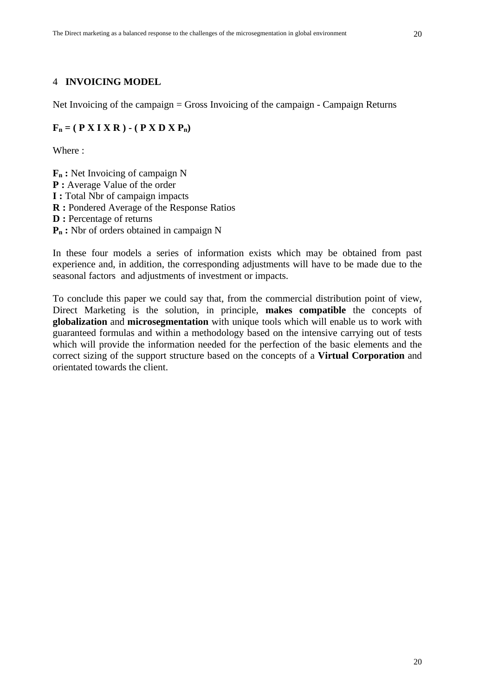## 4 **INVOICING MODEL**

Net Invoicing of the campaign = Gross Invoicing of the campaign - Campaign Returns

#### $\mathbf{F}_n = (\mathbf{P} \mathbf{X} \mathbf{I} \mathbf{X} \mathbf{R}) - (\mathbf{P} \mathbf{X} \mathbf{D} \mathbf{X} \mathbf{P}_n)$

Where :

**Fn :** Net Invoicing of campaign N **P** : Average Value of the order **I :** Total Nbr of campaign impacts **R :** Pondered Average of the Response Ratios **D** : Percentage of returns **Pn :** Nbr of orders obtained in campaign N

In these four models a series of information exists which may be obtained from past experience and, in addition, the corresponding adjustments will have to be made due to the seasonal factors and adjustments of investment or impacts.

To conclude this paper we could say that, from the commercial distribution point of view, Direct Marketing is the solution, in principle, **makes compatible** the concepts of **globalization** and **microsegmentation** with unique tools which will enable us to work with guaranteed formulas and within a methodology based on the intensive carrying out of tests which will provide the information needed for the perfection of the basic elements and the correct sizing of the support structure based on the concepts of a **Virtual Corporation** and orientated towards the client.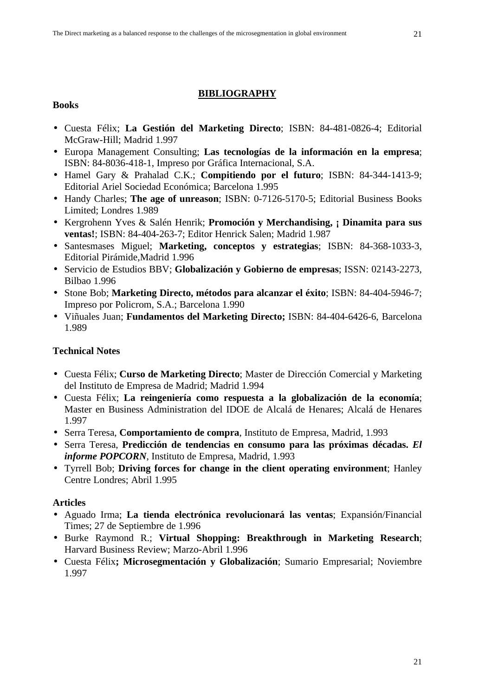## **BIBLIOGRAPHY**

#### **Books**

- Cuesta Félix; **La Gestión del Marketing Directo**; ISBN: 84-481-0826-4; Editorial McGraw-Hill; Madrid 1.997
- Europa Management Consulting; **Las tecnologías de la información en la empresa**; ISBN: 84-8036-418-1, Impreso por Gráfica Internacional, S.A.
- Hamel Gary & Prahalad C.K.; **Compitiendo por el futuro**; ISBN: 84-344-1413-9; Editorial Ariel Sociedad Económica; Barcelona 1.995
- Handy Charles; **The age of unreason**; ISBN: 0-7126-5170-5; Editorial Business Books Limited; Londres 1.989
- Kergrohenn Yves & Salén Henrik; **Promoción y Merchandising, ¡ Dinamita para sus ventas!**; ISBN: 84-404-263-7; Editor Henrick Salen; Madrid 1.987
- Santesmases Miguel; **Marketing, conceptos y estrategias**; ISBN: 84-368-1033-3, Editorial Pirámide,Madrid 1.996
- Servicio de Estudios BBV; **Globalización y Gobierno de empresas**; ISSN: 02143-2273, Bilbao 1.996
- Stone Bob; **Marketing Directo, métodos para alcanzar el éxito**; ISBN: 84-404-5946-7; Impreso por Policrom, S.A.; Barcelona 1.990
- Viñuales Juan; **Fundamentos del Marketing Directo;** ISBN: 84-404-6426-6, Barcelona 1.989

# **Technical Notes**

- Cuesta Félix; **Curso de Marketing Directo**; Master de Dirección Comercial y Marketing del Instituto de Empresa de Madrid; Madrid 1.994
- Cuesta Félix; **La reingeniería como respuesta a la globalización de la economía**; Master en Business Administration del IDOE de Alcalá de Henares; Alcalá de Henares 1.997
- Serra Teresa, **Comportamiento de compra**, Instituto de Empresa, Madrid, 1.993
- Serra Teresa, **Predicción de tendencias en consumo para las próximas décadas.** *El informe POPCORN*, Instituto de Empresa, Madrid, 1.993
- Tyrrell Bob; **Driving forces for change in the client operating environment**; Hanley Centre Londres; Abril 1.995

# **Articles**

- Aguado Irma; **La tienda electrónica revolucionará las ventas**; Expansión/Financial Times; 27 de Septiembre de 1.996
- Burke Raymond R.; **Virtual Shopping: Breakthrough in Marketing Research**; Harvard Business Review; Marzo-Abril 1.996
- Cuesta Félix**; Microsegmentación y Globalización**; Sumario Empresarial; Noviembre 1.997